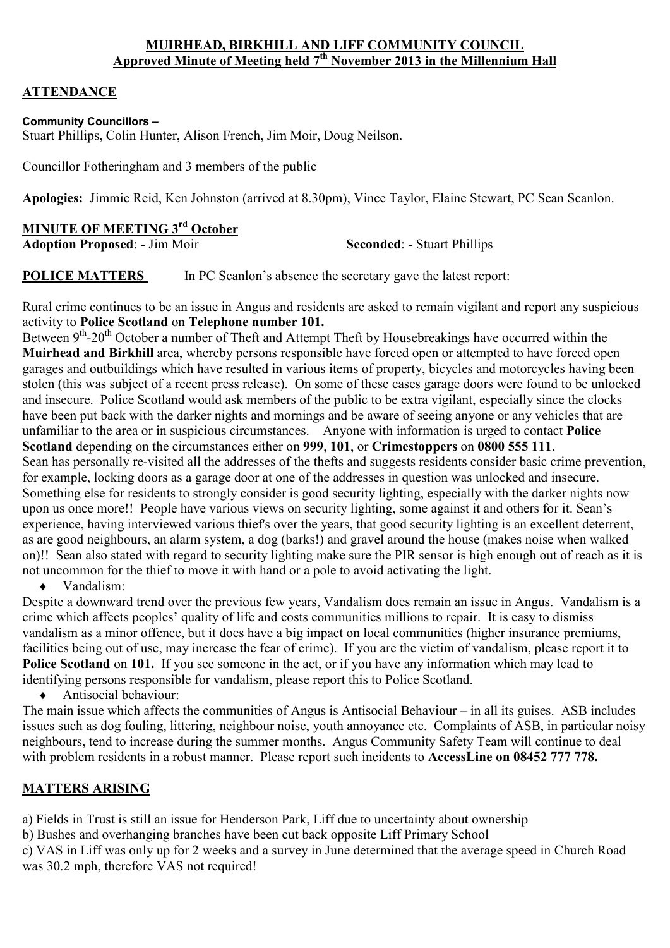#### **MUIRHEAD, BIRKHILL AND LIFF COMMUNITY COUNCIL Approved Minute of Meeting held 7th November 2013 in the Millennium Hall**

## **ATTENDANCE**

#### **Community Councillors –**

Stuart Phillips, Colin Hunter, Alison French, Jim Moir, Doug Neilson.

Councillor Fotheringham and 3 members of the public

**Apologies:** Jimmie Reid, Ken Johnston (arrived at 8.30pm), Vince Taylor, Elaine Stewart, PC Sean Scanlon.

#### **MINUTE OF MEETING 3rd October**

**Adoption Proposed:** - Jim Moir **Seconded:** - Stuart Phillips

**POLICE MATTERS** In PC Scanlon's absence the secretary gave the latest report:

Rural crime continues to be an issue in Angus and residents are asked to remain vigilant and report any suspicious activity to **Police Scotland** on **Telephone number 101.** 

Between 9<sup>th</sup>-20<sup>th</sup> October a number of Theft and Attempt Theft by Housebreakings have occurred within the **Muirhead and Birkhill** area, whereby persons responsible have forced open or attempted to have forced open garages and outbuildings which have resulted in various items of property, bicycles and motorcycles having been stolen (this was subject of a recent press release). On some of these cases garage doors were found to be unlocked and insecure. Police Scotland would ask members of the public to be extra vigilant, especially since the clocks have been put back with the darker nights and mornings and be aware of seeing anyone or any vehicles that are unfamiliar to the area or in suspicious circumstances. Anyone with information is urged to contact **Police Scotland** depending on the circumstances either on **999**, **101**, or **Crimestoppers** on **0800 555 111**. Sean has personally re-visited all the addresses of the thefts and suggests residents consider basic crime prevention, for example, locking doors as a garage door at one of the addresses in question was unlocked and insecure. Something else for residents to strongly consider is good security lighting, especially with the darker nights now upon us once more!! People have various views on security lighting, some against it and others for it. Sean's experience, having interviewed various thief's over the years, that good security lighting is an excellent deterrent, as are good neighbours, an alarm system, a dog (barks!) and gravel around the house (makes noise when walked on)!! Sean also stated with regard to security lighting make sure the PIR sensor is high enough out of reach as it is not uncommon for the thief to move it with hand or a pole to avoid activating the light.

♦ Vandalism:

Despite a downward trend over the previous few years, Vandalism does remain an issue in Angus. Vandalism is a crime which affects peoples' quality of life and costs communities millions to repair. It is easy to dismiss vandalism as a minor offence, but it does have a big impact on local communities (higher insurance premiums, facilities being out of use, may increase the fear of crime). If you are the victim of vandalism, please report it to **Police Scotland** on **101.** If you see someone in the act, or if you have any information which may lead to identifying persons responsible for vandalism, please report this to Police Scotland.

♦ Antisocial behaviour:

The main issue which affects the communities of Angus is Antisocial Behaviour – in all its guises. ASB includes issues such as dog fouling, littering, neighbour noise, youth annoyance etc. Complaints of ASB, in particular noisy neighbours, tend to increase during the summer months. Angus Community Safety Team will continue to deal with problem residents in a robust manner. Please report such incidents to **AccessLine on 08452 777 778.**

## **MATTERS ARISING**

a) Fields in Trust is still an issue for Henderson Park, Liff due to uncertainty about ownership

b) Bushes and overhanging branches have been cut back opposite Liff Primary School

c) VAS in Liff was only up for 2 weeks and a survey in June determined that the average speed in Church Road was 30.2 mph, therefore VAS not required!